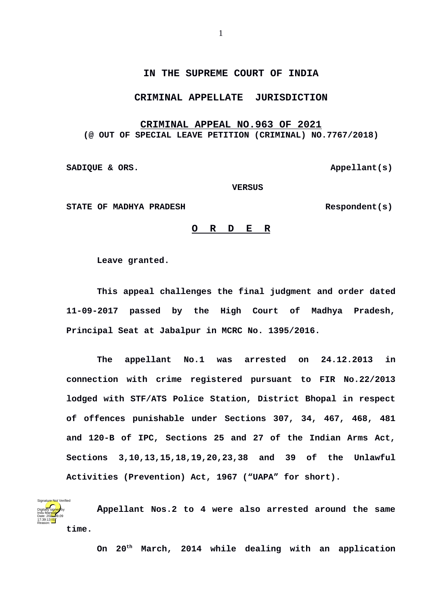## **IN THE SUPREME COURT OF INDIA**

## **CRIMINAL APPELLATE JURISDICTION**

## **CRIMINAL APPEAL NO.963 OF 2021 (@ OUT OF SPECIAL LEAVE PETITION (CRIMINAL) NO.7767/2018)**

SADIQUE & ORS.

 **VERSUS**

STATE OF MADHYA PRADESH Respondent(s)

## **O R D E R**

**Leave granted.**

**This appeal challenges the final judgment and order dated 11-09-2017 passed by the High Court of Madhya Pradesh, Principal Seat at Jabalpur in MCRC No. 1395/2016.**

**The appellant No.1 was arrested on 24.12.2013 in connection with crime registered pursuant to FIR No.22/2013 lodged with STF/ATS Police Station, District Bhopal in respect of offences punishable under Sections 307, 34, 467, 468, 481 and 120-B of IPC, Sections 25 and 27 of the Indian Arms Act, Sections 3,10,13,15,18,19,20,23,38 and 39 of the Unlawful Activities (Prevention) Act, 1967 ("UAPA" for short).**

**Appellant Nos.2 to 4 were also arrested around the same time.** Digitally signed by Indu Marwah Date: 2024.09.09 17:39:13<sup>TST</sup> Reason: Signature Not Verified

**On 20th March, 2014 while dealing with an application**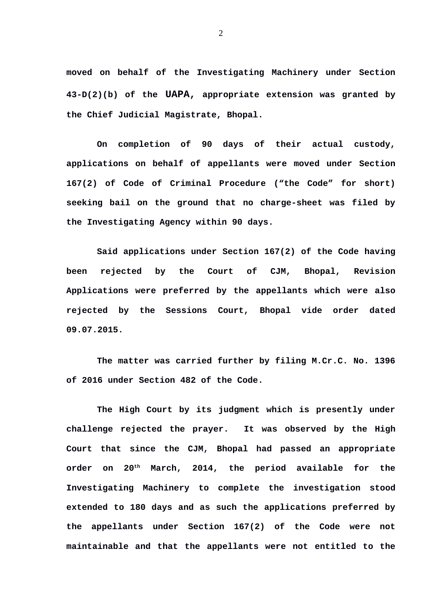**moved on behalf of the Investigating Machinery under Section 43-D(2)(b) of the UAPA, appropriate extension was granted by the Chief Judicial Magistrate, Bhopal.**

**On completion of 90 days of their actual custody, applications on behalf of appellants were moved under Section 167(2) of Code of Criminal Procedure ("the Code" for short) seeking bail on the ground that no charge-sheet was filed by the Investigating Agency within 90 days.**

**Said applications under Section 167(2) of the Code having been rejected by the Court of CJM, Bhopal, Revision Applications were preferred by the appellants which were also rejected by the Sessions Court, Bhopal vide order dated 09.07.2015.**

**The matter was carried further by filing M.Cr.C. No. 1396 of 2016 under Section 482 of the Code.**

**The High Court by its judgment which is presently under challenge rejected the prayer. It was observed by the High Court that since the CJM, Bhopal had passed an appropriate order on 20th March, 2014, the period available for the Investigating Machinery to complete the investigation stood extended to 180 days and as such the applications preferred by the appellants under Section 167(2) of the Code were not maintainable and that the appellants were not entitled to the**

2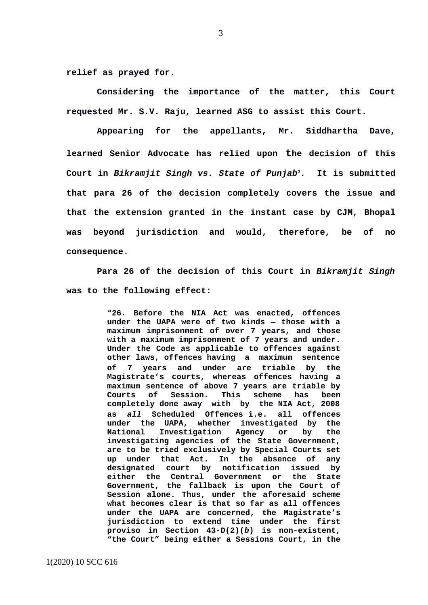**relief as prayed for.**

**Considering the importance of the matter, this Court requested Mr. S.V. Raju, learned ASG to assist this Court.**

**Appearing for the appellants, Mr. Siddhartha Dave, learned Senior Advocate has relied upon the decision of this Court in** *Bikramjit Singh vs. State of Punjab[1](#page-2-0).* **It is submitted that para 26 of the decision completely covers the issue and that the extension granted in the instant case by CJM, Bhopal was beyond jurisdiction and would, therefore, be of no consequence.**

**Para 26 of the decision of this Court in** *Bikramjit Singh* **was to the following effect:**

> **"26. Before the NIA Act was enacted, offences under the UAPA were of two kinds — those with a maximum imprisonment of over 7 years, and those with a maximum imprisonment of 7 years and under. Under the Code as applicable to offences against other laws, offences having a maximum sentence of 7 years and under are triable by the Magistrate's courts, whereas offences having a maximum sentence of above 7 years are triable by Courts of Session. This scheme has been completely done away with by the NIA Act, 2008 as** *all* **Scheduled Offences i.e. all offences under the UAPA, whether investigated by the National Investigation Agency or by the investigating agencies of the State Government, are to be tried exclusively by Special Courts set up under that Act. In the absence of any designated court by notification issued by either the Central Government or the State Government, the fallback is upon the Court of Session alone. Thus, under the aforesaid scheme what becomes clear is that so far as all offences under the UAPA are concerned, the Magistrate's jurisdiction to extend time under the first proviso in Section 43-D(2)(***b***) is non-existent, "the Court" being either a Sessions Court, in the**

<span id="page-2-0"></span>1(2020) 10 SCC 616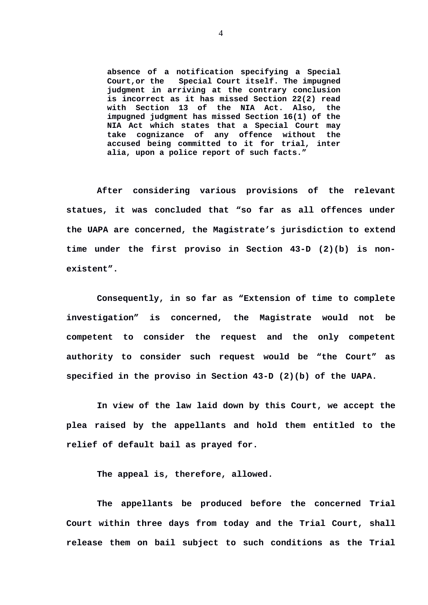**absence of a notification specifying a Special Court,or the Special Court itself. The impugned judgment in arriving at the contrary conclusion is incorrect as it has missed Section 22(2) read with Section 13 of the NIA Act. Also, the impugned judgment has missed Section 16(1) of the NIA Act which states that a Special Court may take cognizance of any offence without the accused being committed to it for trial, inter alia, upon a police report of such facts."**

**After considering various provisions of the relevant statues, it was concluded that "so far as all offences under the UAPA are concerned, the Magistrate's jurisdiction to extend time under the first proviso in Section 43-D (2)(b) is nonexistent".** 

**Consequently, in so far as "Extension of time to complete investigation" is concerned, the Magistrate would not be competent to consider the request and the only competent authority to consider such request would be "the Court" as specified in the proviso in Section 43-D (2)(b) of the UAPA.**

**In view of the law laid down by this Court, we accept the plea raised by the appellants and hold them entitled to the relief of default bail as prayed for.**

**The appeal is, therefore, allowed.**

 **The appellants be produced before the concerned Trial Court within three days from today and the Trial Court, shall release them on bail subject to such conditions as the Trial**

4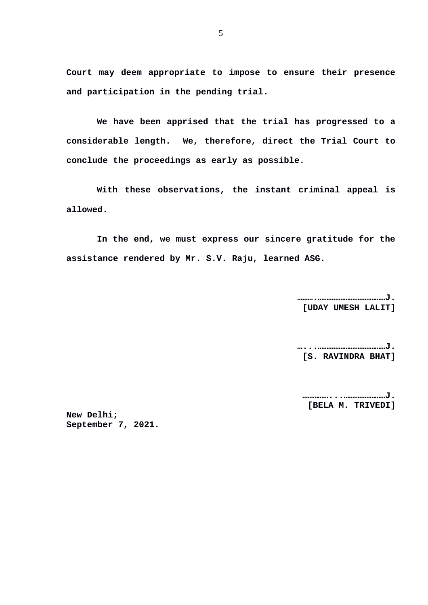**Court may deem appropriate to impose to ensure their presence and participation in the pending trial.**

**We have been apprised that the trial has progressed to a considerable length. We, therefore, direct the Trial Court to conclude the proceedings as early as possible.**

**With these observations, the instant criminal appeal is allowed.**

**In the end, we must express our sincere gratitude for the assistance rendered by Mr. S.V. Raju, learned ASG.**

> **……….…………………………………J. [UDAY UMESH LALIT]**

> **…...…………………………………J. [S. RAVINDRA BHAT]**

**……………...……………………J. [BELA M. TRIVEDI]**

**New Delhi; September 7, 2021.**